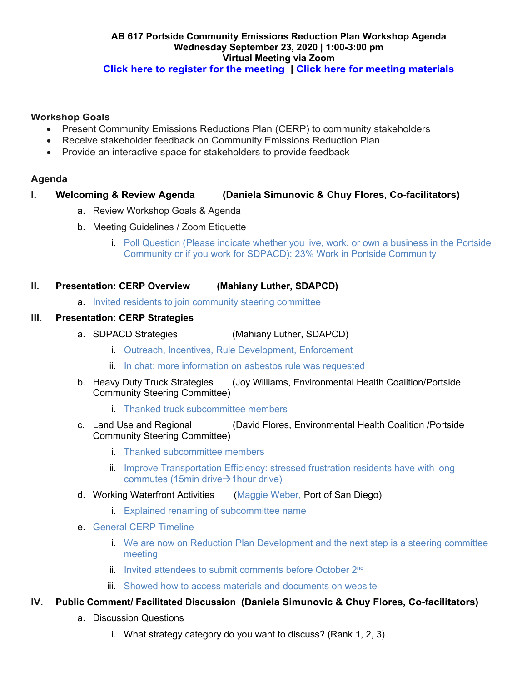## **Workshop Goals**

- Present Community Emissions Reductions Plan (CERP) to community stakeholders
- Receive stakeholder feedback on Community Emissions Reduction Plan
- Provide an interactive space for stakeholders to provide feedback

# **Agenda**

### **I. Welcoming & Review Agenda (Daniela Simunovic & Chuy Flores, Co-facilitators)**

- a. Review Workshop Goals & Agenda
- b. Meeting Guidelines / Zoom Etiquette
	- i. Poll Question (Please indicate whether you live, work, or own a business in the Portside Community or if you work for SDPACD): 23% Work in Portside Community

### **II. Presentation: CERP Overview (Mahiany Luther, SDAPCD)**

a. Invited residents to join community steering committee

### **III. Presentation: CERP Strategies**

- a. SDPACD Strategies (Mahiany Luther, SDAPCD)
	- i. Outreach, Incentives, Rule Development, Enforcement
	- ii. In chat: more information on asbestos rule was requested
- b. Heavy Duty Truck Strategies (Joy Williams, Environmental Health Coalition/Portside Community Steering Committee)
	- i. Thanked truck subcommittee members
- c. Land Use and Regional (David Flores, Environmental Health Coalition /Portside Community Steering Committee)
	- i. Thanked subcommittee members
	- ii. Improve Transportation Efficiency: stressed frustration residents have with long commutes (15min drive $\rightarrow$ 1hour drive)
- d. Working Waterfront Activities (Maggie Weber, Port of San Diego)
	- i. Explained renaming of subcommittee name
- e. General CERP Timeline
	- i. We are now on Reduction Plan Development and the next step is a steering committee meeting
	- ii. Invited attendees to submit comments before October 2nd
	- iii. Showed how to access materials and documents on website

### **IV. Public Comment/ Facilitated Discussion (Daniela Simunovic & Chuy Flores, Co-facilitators)**

- a. Discussion Questions
	- i. What strategy category do you want to discuss? (Rank 1, 2, 3)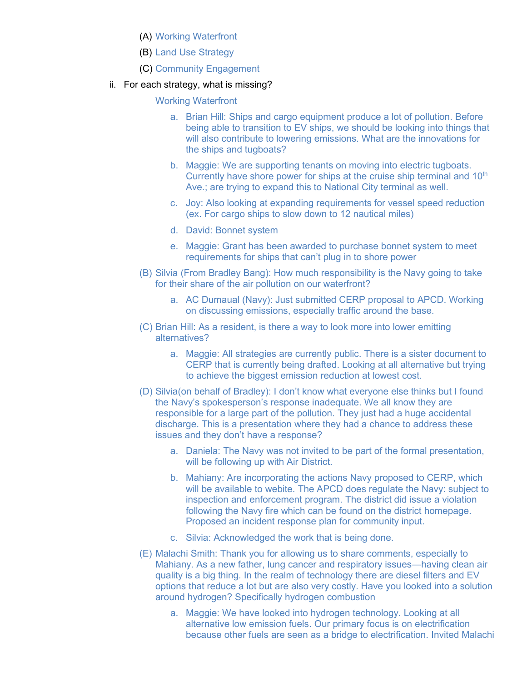- (A) Working Waterfront
- (B) Land Use Strategy
- (C) Community Engagement
- ii. For each strategy, what is missing?

Working Waterfront

- a. Brian Hill: Ships and cargo equipment produce a lot of pollution. Before being able to transition to EV ships, we should be looking into things that will also contribute to lowering emissions. What are the innovations for the ships and tugboats?
- b. Maggie: We are supporting tenants on moving into electric tugboats. Currently have shore power for ships at the cruise ship terminal and  $10<sup>th</sup>$ Ave.; are trying to expand this to National City terminal as well.
- c. Joy: Also looking at expanding requirements for vessel speed reduction (ex. For cargo ships to slow down to 12 nautical miles)
- d. David: Bonnet system
- e. Maggie: Grant has been awarded to purchase bonnet system to meet requirements for ships that can't plug in to shore power
- (B) Silvia (From Bradley Bang): How much responsibility is the Navy going to take for their share of the air pollution on our waterfront?
	- a. AC Dumaual (Navy): Just submitted CERP proposal to APCD. Working on discussing emissions, especially traffic around the base.
- (C) Brian Hill: As a resident, is there a way to look more into lower emitting alternatives?
	- a. Maggie: All strategies are currently public. There is a sister document to CERP that is currently being drafted. Looking at all alternative but trying to achieve the biggest emission reduction at lowest cost.
- (D) Silvia(on behalf of Bradley): I don't know what everyone else thinks but I found the Navy's spokesperson's response inadequate. We all know they are responsible for a large part of the pollution. They just had a huge accidental discharge. This is a presentation where they had a chance to address these issues and they don't have a response?
	- a. Daniela: The Navy was not invited to be part of the formal presentation, will be following up with Air District.
	- b. Mahiany: Are incorporating the actions Navy proposed to CERP, which will be available to webite. The APCD does regulate the Navy: subject to inspection and enforcement program. The district did issue a violation following the Navy fire which can be found on the district homepage. Proposed an incident response plan for community input.
	- c. Silvia: Acknowledged the work that is being done.
- (E) Malachi Smith: Thank you for allowing us to share comments, especially to Mahiany. As a new father, lung cancer and respiratory issues—having clean air quality is a big thing. In the realm of technology there are diesel filters and EV options that reduce a lot but are also very costly. Have you looked into a solution around hydrogen? Specifically hydrogen combustion
	- a. Maggie: We have looked into hydrogen technology. Looking at all alternative low emission fuels. Our primary focus is on electrification because other fuels are seen as a bridge to electrification. Invited Malachi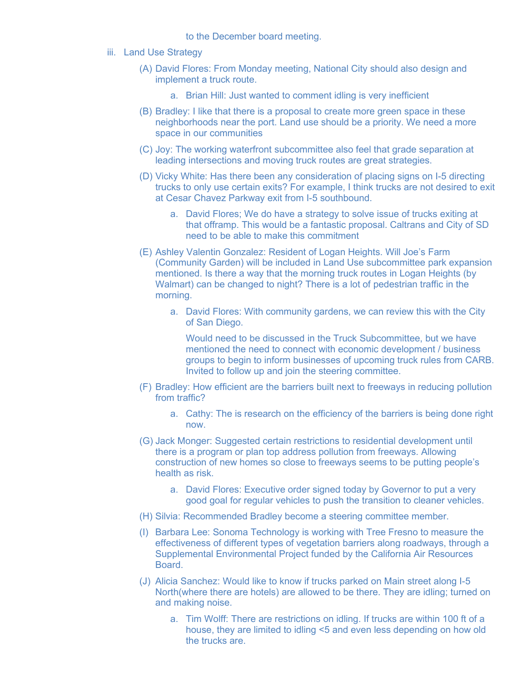to the December board meeting.

- iii. Land Use Strategy
	- (A) David Flores: From Monday meeting, National City should also design and implement a truck route.
		- a. Brian Hill: Just wanted to comment idling is very inefficient
	- (B) Bradley: I like that there is a proposal to create more green space in these neighborhoods near the port. Land use should be a priority. We need a more space in our communities
	- (C) Joy: The working waterfront subcommittee also feel that grade separation at leading intersections and moving truck routes are great strategies.
	- (D) Vicky White: Has there been any consideration of placing signs on I-5 directing trucks to only use certain exits? For example, I think trucks are not desired to exit at Cesar Chavez Parkway exit from I-5 southbound.
		- a. David Flores; We do have a strategy to solve issue of trucks exiting at that offramp. This would be a fantastic proposal. Caltrans and City of SD need to be able to make this commitment
	- (E) Ashley Valentin Gonzalez: Resident of Logan Heights. Will Joe's Farm (Community Garden) will be included in Land Use subcommittee park expansion mentioned. Is there a way that the morning truck routes in Logan Heights (by Walmart) can be changed to night? There is a lot of pedestrian traffic in the morning.
		- a. David Flores: With community gardens, we can review this with the City of San Diego.

Would need to be discussed in the Truck Subcommittee, but we have mentioned the need to connect with economic development / business groups to begin to inform businesses of upcoming truck rules from CARB. Invited to follow up and join the steering committee.

- (F) Bradley: How efficient are the barriers built next to freeways in reducing pollution from traffic?
	- a. Cathy: The is research on the efficiency of the barriers is being done right now.
- (G) Jack Monger: Suggested certain restrictions to residential development until there is a program or plan top address pollution from freeways. Allowing construction of new homes so close to freeways seems to be putting people's health as risk.
	- a. David Flores: Executive order signed today by Governor to put a very good goal for regular vehicles to push the transition to cleaner vehicles.
- (H) Silvia: Recommended Bradley become a steering committee member.
- (I) Barbara Lee: Sonoma Technology is working with Tree Fresno to measure the effectiveness of different types of vegetation barriers along roadways, through a Supplemental Environmental Project funded by the California Air Resources **Board**
- (J) Alicia Sanchez: Would like to know if trucks parked on Main street along I-5 North(where there are hotels) are allowed to be there. They are idling; turned on and making noise.
	- a. Tim Wolff: There are restrictions on idling. If trucks are within 100 ft of a house, they are limited to idling <5 and even less depending on how old the trucks are.